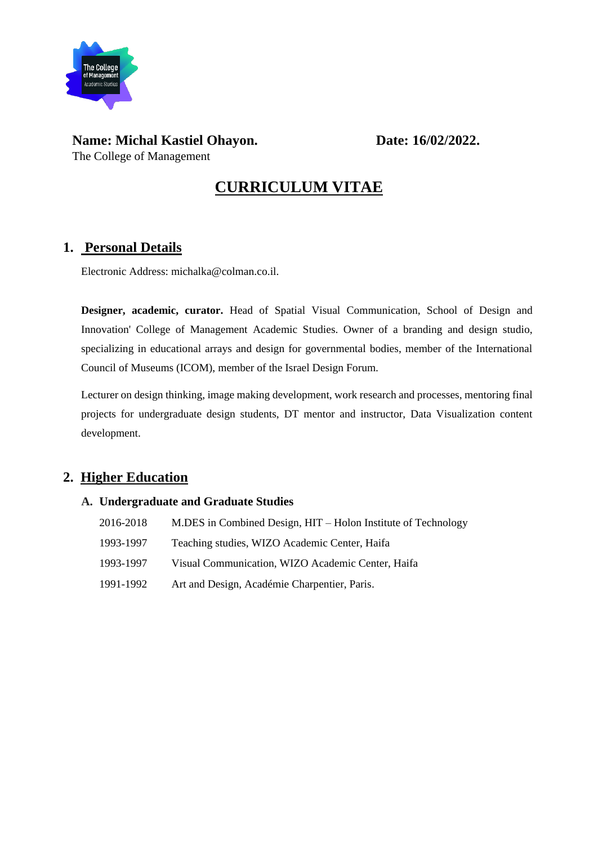

# **Name: Michal Kastiel Ohayon. Date: 16/02/2022.**

The College of Management

**CURRICULUM VITAE**

### **1. Personal Details**

Electronic Address: michalka@colman.co.il.

**Designer, academic, curator.** Head of Spatial Visual Communication, School of Design and Innovation' College of Management Academic Studies. Owner of a branding and design studio, specializing in educational arrays and design for governmental bodies, member of the International Council of Museums (ICOM), member of the Israel Design Forum.

Lecturer on design thinking, image making development, work research and processes, mentoring final projects for undergraduate design students, DT mentor and instructor, Data Visualization content development.

# **2. Higher Education**

### **A. Undergraduate and Graduate Studies**

| 2016-2018 | M.DES in Combined Design, HIT - Holon Institute of Technology |
|-----------|---------------------------------------------------------------|
| 1993-1997 | Teaching studies, WIZO Academic Center, Haifa                 |
| 1993-1997 | Visual Communication, WIZO Academic Center, Haifa             |
| 1991-1992 | Art and Design, Académie Charpentier, Paris.                  |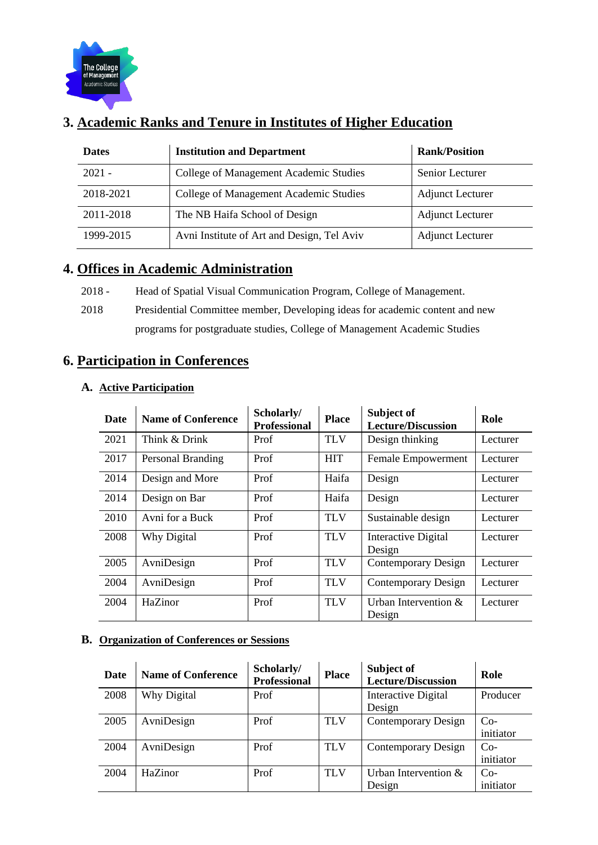

# **3. Academic Ranks and Tenure in Institutes of Higher Education**

| <b>Dates</b> | <b>Institution and Department</b>          | <b>Rank/Position</b>    |
|--------------|--------------------------------------------|-------------------------|
| $2021 -$     | College of Management Academic Studies     | Senior Lecturer         |
| 2018-2021    | College of Management Academic Studies     | <b>Adjunct Lecturer</b> |
| 2011-2018    | The NB Haifa School of Design              | <b>Adjunct Lecturer</b> |
| 1999-2015    | Avni Institute of Art and Design, Tel Aviv | <b>Adjunct Lecturer</b> |

### **4. Offices in Academic Administration**

- 2018 Head of Spatial Visual Communication Program, College of Management.
- 2018 Presidential Committee member, Developing ideas for academic content and new programs for postgraduate studies, College of Management Academic Studies

# **6. Participation in Conferences**

|--|

| Date | <b>Name of Conference</b> | Scholarly/<br><b>Professional</b> | <b>Place</b> | Subject of<br><b>Lecture/Discussion</b> | Role     |
|------|---------------------------|-----------------------------------|--------------|-----------------------------------------|----------|
| 2021 | Think & Drink             | Prof                              | <b>TLV</b>   | Design thinking                         | Lecturer |
| 2017 | Personal Branding         | Prof                              | <b>HIT</b>   | Female Empowerment                      | Lecturer |
| 2014 | Design and More           | Prof                              | Haifa        | Design                                  | Lecturer |
| 2014 | Design on Bar             | Prof                              | Haifa        | Design                                  | Lecturer |
| 2010 | Avni for a Buck           | Prof                              | <b>TLV</b>   | Sustainable design                      | Lecturer |
| 2008 | Why Digital               | Prof                              | <b>TLV</b>   | Interactive Digital<br>Design           | Lecturer |
| 2005 | AvniDesign                | Prof                              | <b>TLV</b>   | <b>Contemporary Design</b>              | Lecturer |
| 2004 | AvniDesign                | Prof                              | <b>TLV</b>   | Contemporary Design                     | Lecturer |
| 2004 | HaZinor                   | Prof                              | <b>TLV</b>   | Urban Intervention $\&$<br>Design       | Lecturer |

### **B. Organization of Conferences or Sessions**

| <b>Date</b> | <b>Name of Conference</b> | Scholarly/<br><b>Professional</b> | <b>Place</b> | Subject of<br><b>Lecture/Discussion</b> | Role      |
|-------------|---------------------------|-----------------------------------|--------------|-----------------------------------------|-----------|
| 2008        | Why Digital               | Prof                              |              | <b>Interactive Digital</b>              | Producer  |
|             |                           |                                   |              | Design                                  |           |
| 2005        | AvniDesign                | Prof                              | <b>TLV</b>   | Contemporary Design                     | $Co-$     |
|             |                           |                                   |              |                                         | initiator |
| 2004        | AvniDesign                | Prof                              | <b>TLV</b>   | Contemporary Design                     | $Co-$     |
|             |                           |                                   |              |                                         | initiator |
| 2004        | HaZinor                   | Prof                              | <b>TLV</b>   | Urban Intervention &                    | $Co-$     |
|             |                           |                                   |              | Design                                  | initiator |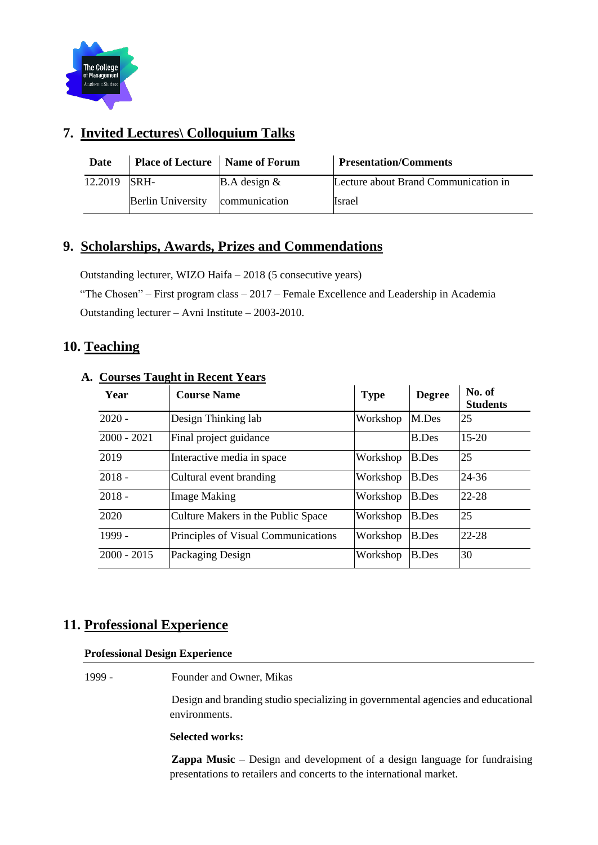

# **7. Invited Lectures\ Colloquium Talks**

| Date    | Place of Lecture   Name of Forum |                        | <b>Presentation/Comments</b>         |
|---------|----------------------------------|------------------------|--------------------------------------|
| 12.2019 | SRH-                             | <b>B.A</b> design $\&$ | Lecture about Brand Communication in |
|         | <b>Berlin University</b>         | communication          | Israel                               |

## **9. Scholarships, Awards, Prizes and Commendations**

Outstanding lecturer, WIZO Haifa – 2018 (5 consecutive years) "The Chosen" – First program class – 2017 – Female Excellence and Leadership in Academia Outstanding lecturer – Avni Institute – 2003-2010.

### **10. Teaching**

### **A. Courses Taught in Recent Years**

| Year          | <b>Course Name</b>                  | <b>Type</b> | <b>Degree</b> | No. of<br><b>Students</b> |
|---------------|-------------------------------------|-------------|---------------|---------------------------|
| $2020 -$      | Design Thinking lab                 | Workshop    | M.Des         | 25                        |
| $2000 - 2021$ | Final project guidance              |             | <b>B.Des</b>  | $15 - 20$                 |
| 2019          | Interactive media in space          | Workshop    | <b>B.Des</b>  | 25                        |
| $2018 -$      | Cultural event branding             | Workshop    | <b>B.Des</b>  | 24-36                     |
| $2018 -$      | <b>Image Making</b>                 | Workshop    | <b>B.Des</b>  | $22 - 28$                 |
| 2020          | Culture Makers in the Public Space  | Workshop    | <b>B.Des</b>  | 25                        |
| 1999 -        | Principles of Visual Communications | Workshop    | <b>B.Des</b>  | 22-28                     |
| $2000 - 2015$ | Packaging Design                    | Workshop    | <b>B.Des</b>  | 30                        |

### **11. Professional Experience**

#### **Professional Design Experience**

1999 - Founder and Owner, Mikas

Design and branding studio specializing in governmental agencies and educational environments.

#### **Selected works:**

**Zappa Music** – Design and development of a design language for fundraising presentations to retailers and concerts to the international market.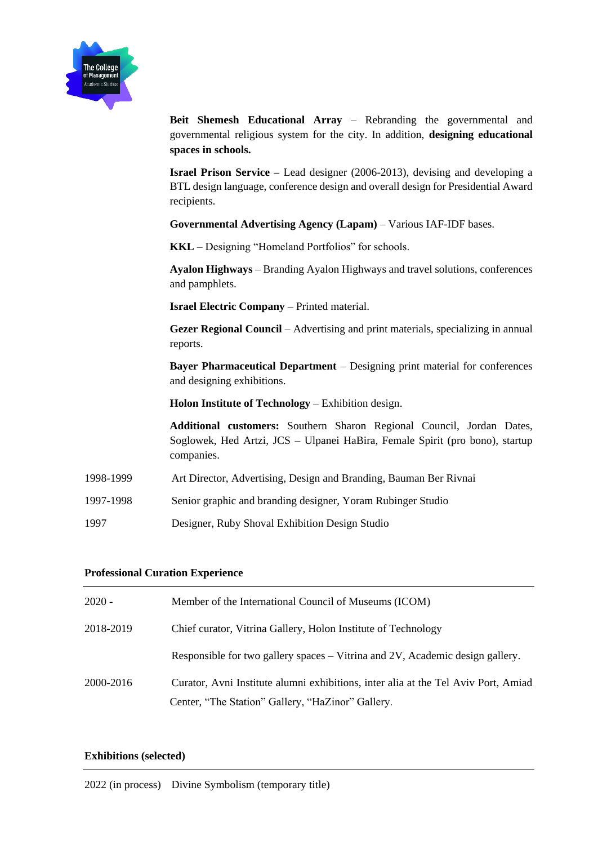

**Beit Shemesh Educational Array** – Rebranding the governmental and governmental religious system for the city. In addition, **designing educational spaces in schools.**

**Israel Prison Service –** Lead designer (2006-2013), devising and developing a BTL design language, conference design and overall design for Presidential Award recipients.

**Governmental Advertising Agency (Lapam)** – Various IAF-IDF bases.

**KKL** – Designing "Homeland Portfolios" for schools.

**Ayalon Highways** – Branding Ayalon Highways and travel solutions, conferences and pamphlets.

**Israel Electric Company** – Printed material.

**Gezer Regional Council** – Advertising and print materials, specializing in annual reports.

**Bayer Pharmaceutical Department** – Designing print material for conferences and designing exhibitions.

**Holon Institute of Technology** – Exhibition design.

**Additional customers:** Southern Sharon Regional Council, Jordan Dates, Soglowek, Hed Artzi, JCS – Ulpanei HaBira, Female Spirit (pro bono), startup companies.

- 1998-1999 Art Director, Advertising, Design and Branding, Bauman Ber Rivnai
- 1997-1998 Senior graphic and branding designer, Yoram Rubinger Studio
- 1997 Designer, Ruby Shoval Exhibition Design Studio

#### **Professional Curation Experience**

| $2020 -$  | Member of the International Council of Museums (ICOM)                              |
|-----------|------------------------------------------------------------------------------------|
| 2018-2019 | Chief curator, Vitrina Gallery, Holon Institute of Technology                      |
|           | Responsible for two gallery spaces – Vitrina and 2V, Academic design gallery.      |
| 2000-2016 | Curator, Avni Institute alumni exhibitions, inter alia at the Tel Aviv Port, Amiad |
|           | Center, "The Station" Gallery, "HaZinor" Gallery.                                  |

#### **Exhibitions (selected)**

2022 (in process) Divine Symbolism (temporary title)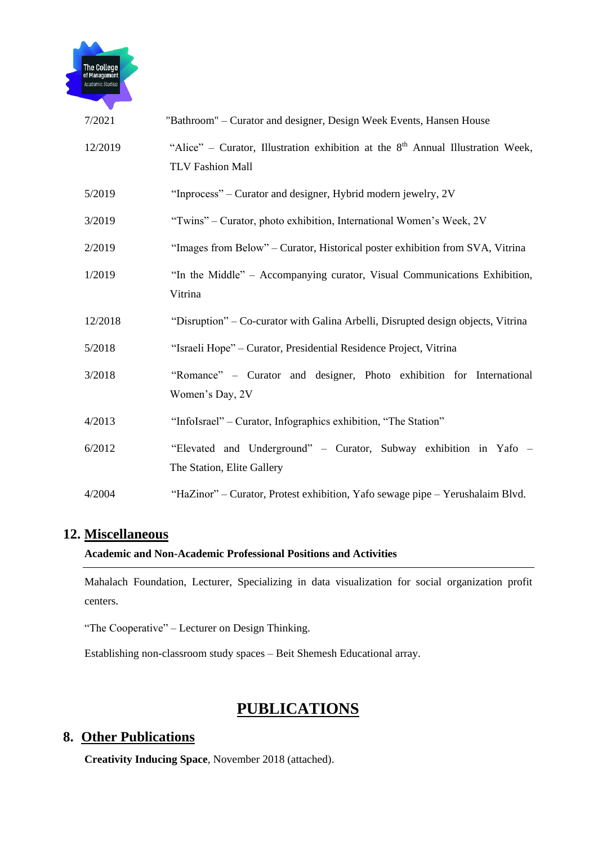

| 7/2021  | "Bathroom" - Curator and designer, Design Week Events, Hansen House                                                    |
|---------|------------------------------------------------------------------------------------------------------------------------|
| 12/2019 | "Alice" – Curator, Illustration exhibition at the 8 <sup>th</sup> Annual Illustration Week,<br><b>TLV Fashion Mall</b> |
| 5/2019  | "Inprocess" – Curator and designer, Hybrid modern jewelry, 2V                                                          |
| 3/2019  | "Twins" – Curator, photo exhibition, International Women's Week, 2V                                                    |
| 2/2019  | "Images from Below" - Curator, Historical poster exhibition from SVA, Vitrina                                          |
| 1/2019  | "In the Middle" - Accompanying curator, Visual Communications Exhibition,<br>Vitrina                                   |
| 12/2018 | "Disruption" – Co-curator with Galina Arbelli, Disrupted design objects, Vitrina                                       |
| 5/2018  | "Israeli Hope" - Curator, Presidential Residence Project, Vitrina                                                      |
| 3/2018  | "Romance" - Curator and designer, Photo exhibition for International<br>Women's Day, 2V                                |
| 4/2013  | "InfoIsrael" – Curator, Infographics exhibition, "The Station"                                                         |
| 6/2012  | "Elevated and Underground" - Curator, Subway exhibition in Yafo -<br>The Station, Elite Gallery                        |
| 4/2004  | "HaZinor" – Curator, Protest exhibition, Yafo sewage pipe – Yerushalaim Blvd.                                          |

### **12. Miscellaneous**

### **Academic and Non-Academic Professional Positions and Activities**

Mahalach Foundation, Lecturer, Specializing in data visualization for social organization profit centers.

"The Cooperative" – Lecturer on Design Thinking.

Establishing non-classroom study spaces – Beit Shemesh Educational array.

# **PUBLICATIONS**

### **8. Other Publications**

**Creativity Inducing Space**, November 2018 (attached).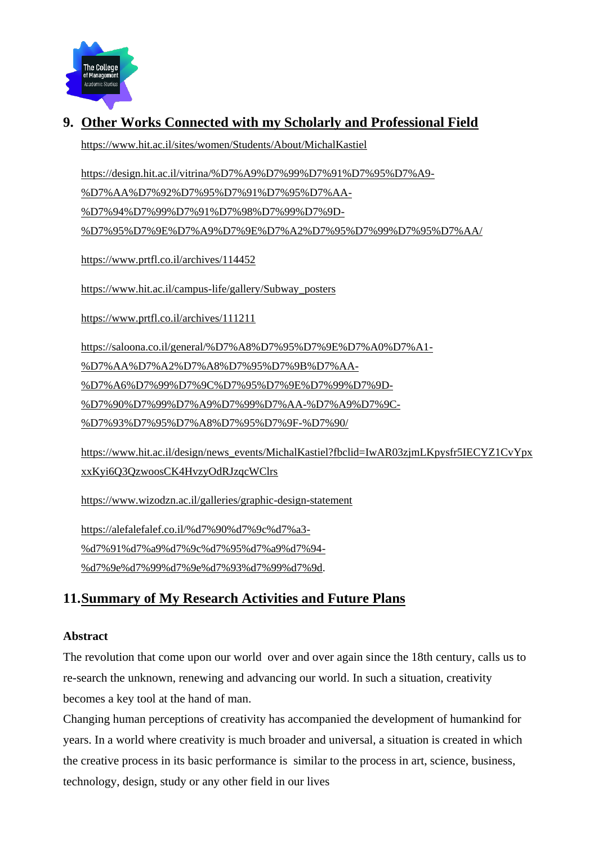

# **9. Other Works Connected with my Scholarly and Professional Field**

<https://www.hit.ac.il/sites/women/Students/About/MichalKastiel>

[https://design.hit.ac.il/vitrina/%D7%A9%D7%99%D7%91%D7%95%D7%A9-](https://design.hit.ac.il/vitrina/%D7%A9%D7%99%D7%91%D7%95%D7%A9-%D7%AA%D7%92%D7%95%D7%91%D7%95%D7%AA-%D7%94%D7%99%D7%91%D7%98%D7%99%D7%9D-%D7%95%D7%9E%D7%A9%D7%9E%D7%A2%D7%95%D7%99%D7%95%D7%AA/)

[%D7%AA%D7%92%D7%95%D7%91%D7%95%D7%AA-](https://design.hit.ac.il/vitrina/%D7%A9%D7%99%D7%91%D7%95%D7%A9-%D7%AA%D7%92%D7%95%D7%91%D7%95%D7%AA-%D7%94%D7%99%D7%91%D7%98%D7%99%D7%9D-%D7%95%D7%9E%D7%A9%D7%9E%D7%A2%D7%95%D7%99%D7%95%D7%AA/)

[%D7%94%D7%99%D7%91%D7%98%D7%99%D7%9D-](https://design.hit.ac.il/vitrina/%D7%A9%D7%99%D7%91%D7%95%D7%A9-%D7%AA%D7%92%D7%95%D7%91%D7%95%D7%AA-%D7%94%D7%99%D7%91%D7%98%D7%99%D7%9D-%D7%95%D7%9E%D7%A9%D7%9E%D7%A2%D7%95%D7%99%D7%95%D7%AA/)

[%D7%95%D7%9E%D7%A9%D7%9E%D7%A2%D7%95%D7%99%D7%95%D7%AA/](https://design.hit.ac.il/vitrina/%D7%A9%D7%99%D7%91%D7%95%D7%A9-%D7%AA%D7%92%D7%95%D7%91%D7%95%D7%AA-%D7%94%D7%99%D7%91%D7%98%D7%99%D7%9D-%D7%95%D7%9E%D7%A9%D7%9E%D7%A2%D7%95%D7%99%D7%95%D7%AA/)

<https://www.prtfl.co.il/archives/114452>

[https://www.hit.ac.il/campus-life/gallery/Subway\\_posters](https://www.hit.ac.il/campus-life/gallery/Subway_posters)

<https://www.prtfl.co.il/archives/111211>

[https://saloona.co.il/general/%D7%A8%D7%95%D7%9E%D7%A0%D7%A1-](https://saloona.co.il/general/%D7%A8%D7%95%D7%9E%D7%A0%D7%A1-%D7%AA%D7%A2%D7%A8%D7%95%D7%9B%D7%AA-%D7%A6%D7%99%D7%9C%D7%95%D7%9E%D7%99%D7%9D-%D7%90%D7%99%D7%A9%D7%99%D7%AA-%D7%A9%D7%9C-%D7%93%D7%95%D7%A8%D7%95%D7%9F-%D7%90/)

[%D7%AA%D7%A2%D7%A8%D7%95%D7%9B%D7%AA-](https://saloona.co.il/general/%D7%A8%D7%95%D7%9E%D7%A0%D7%A1-%D7%AA%D7%A2%D7%A8%D7%95%D7%9B%D7%AA-%D7%A6%D7%99%D7%9C%D7%95%D7%9E%D7%99%D7%9D-%D7%90%D7%99%D7%A9%D7%99%D7%AA-%D7%A9%D7%9C-%D7%93%D7%95%D7%A8%D7%95%D7%9F-%D7%90/)

[%D7%A6%D7%99%D7%9C%D7%95%D7%9E%D7%99%D7%9D-](https://saloona.co.il/general/%D7%A8%D7%95%D7%9E%D7%A0%D7%A1-%D7%AA%D7%A2%D7%A8%D7%95%D7%9B%D7%AA-%D7%A6%D7%99%D7%9C%D7%95%D7%9E%D7%99%D7%9D-%D7%90%D7%99%D7%A9%D7%99%D7%AA-%D7%A9%D7%9C-%D7%93%D7%95%D7%A8%D7%95%D7%9F-%D7%90/)

[%D7%90%D7%99%D7%A9%D7%99%D7%AA-%D7%A9%D7%9C-](https://saloona.co.il/general/%D7%A8%D7%95%D7%9E%D7%A0%D7%A1-%D7%AA%D7%A2%D7%A8%D7%95%D7%9B%D7%AA-%D7%A6%D7%99%D7%9C%D7%95%D7%9E%D7%99%D7%9D-%D7%90%D7%99%D7%A9%D7%99%D7%AA-%D7%A9%D7%9C-%D7%93%D7%95%D7%A8%D7%95%D7%9F-%D7%90/)

[%D7%93%D7%95%D7%A8%D7%95%D7%9F-%D7%90/](https://saloona.co.il/general/%D7%A8%D7%95%D7%9E%D7%A0%D7%A1-%D7%AA%D7%A2%D7%A8%D7%95%D7%9B%D7%AA-%D7%A6%D7%99%D7%9C%D7%95%D7%9E%D7%99%D7%9D-%D7%90%D7%99%D7%A9%D7%99%D7%AA-%D7%A9%D7%9C-%D7%93%D7%95%D7%A8%D7%95%D7%9F-%D7%90/)

[https://www.hit.ac.il/design/news\\_events/MichalKastiel?fbclid=IwAR03zjmLKpysfr5IECYZ1CvYpx](https://www.hit.ac.il/design/news_events/MichalKastiel?fbclid=IwAR03zjmLKpysfr5IECYZ1CvYpxxxKyi6Q3QzwoosCK4HvzyOdRJzqcWClrs) [xxKyi6Q3QzwoosCK4HvzyOdRJzqcWClrs](https://www.hit.ac.il/design/news_events/MichalKastiel?fbclid=IwAR03zjmLKpysfr5IECYZ1CvYpxxxKyi6Q3QzwoosCK4HvzyOdRJzqcWClrs)

<https://www.wizodzn.ac.il/galleries/graphic-design-statement>

[https://alefalefalef.co.il/%d7%90%d7%9c%d7%a3-](https://alefalefalef.co.il/%d7%90%d7%9c%d7%a3-%d7%91%d7%a9%d7%9c%d7%95%d7%a9%d7%94-%d7%9e%d7%99%d7%9e%d7%93%d7%99%d7%9d/) [%d7%91%d7%a9%d7%9c%d7%95%d7%a9%d7%94-](https://alefalefalef.co.il/%d7%90%d7%9c%d7%a3-%d7%91%d7%a9%d7%9c%d7%95%d7%a9%d7%94-%d7%9e%d7%99%d7%9e%d7%93%d7%99%d7%9d/) [%d7%9e%d7%99%d7%9e%d7%93%d7%99%d7%9d.](https://alefalefalef.co.il/%d7%90%d7%9c%d7%a3-%d7%91%d7%a9%d7%9c%d7%95%d7%a9%d7%94-%d7%9e%d7%99%d7%9e%d7%93%d7%99%d7%9d/)

## **11.Summary of My Research Activities and Future Plans**

### **Abstract**

The revolution that come upon our world over and over again since the 18th century, calls us to re-search the unknown, renewing and advancing our world. In such a situation, creativity becomes a key tool at the hand of man.

Changing human perceptions of creativity has accompanied the development of humankind for years. In a world where creativity is much broader and universal, a situation is created in which the creative process in its basic performance is similar to the process in art, science, business, technology, design, study or any other field in our lives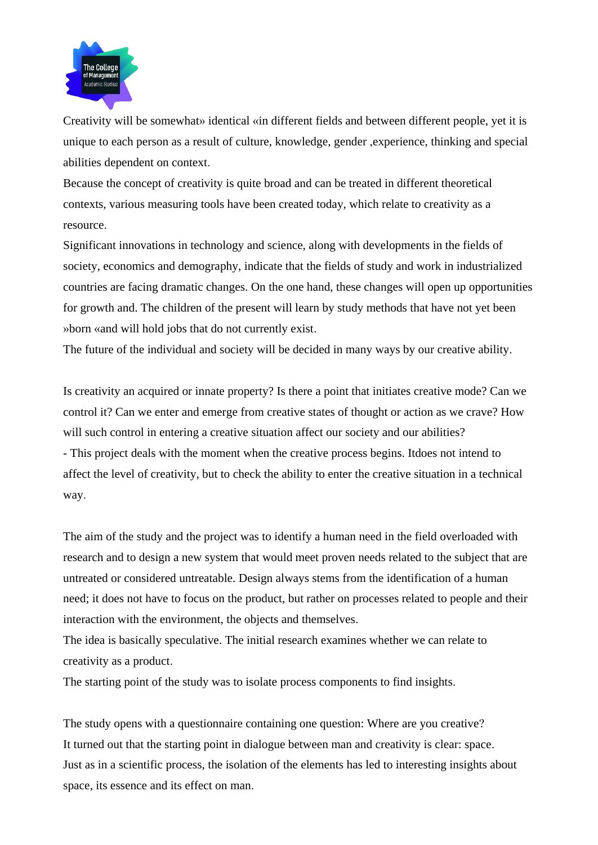

Creativity will be somewhat» identical «in different fields and between different people, yet it is unique to each person as a result of culture, knowledge, gender ,experience, thinking and special abilities dependent on context.

Because the concept of creativity is quite broad and can be treated in different theoretical contexts, various measuring tools have been created today, which relate to creativity as a resource.

Significant innovations in technology and science, along with developments in the fields of society, economics and demography, indicate that the fields of study and work in industrialized countries are facing dramatic changes. On the one hand, these changes will open up opportunities for growth and. The children of the present will learn by study methods that have not yet been » born «and will hold jobs that do not currently exist.

The future of the individual and society will be decided in many ways by our creative ability.

Is creativity an acquired or innate property? Is there a point that initiates creative mode? Can we control it? Can we enter and emerge from creative states of thought or action as we crave? How will such control in entering a creative situation affect our society and our abilities? - This project deals with the moment when the creative process begins. Itdoes not intend to affect the level of creativity, but to check the ability to enter the creative situation in a technical way.

The aim of the study and the project was to identify a human need in the field overloaded with research and to design a new system that would meet proven needs related to the subject that are untreated or considered untreatable. Design always stems from the identification of a human need; it does not have to focus on the product, but rather on processes related to people and their interaction with the environment, the objects and themselves.

The idea is basically speculative. The initial research examines whether we can relate to creativity as a product.

The starting point of the study was to isolate process components to find insights.

The study opens with a questionnaire containing one question: Where are you creative? It turned out that the starting point in dialogue between man and creativity is clear: space. Just as in a scientific process, the isolation of the elements has led to interesting insights about space, its essence and its effect on man.